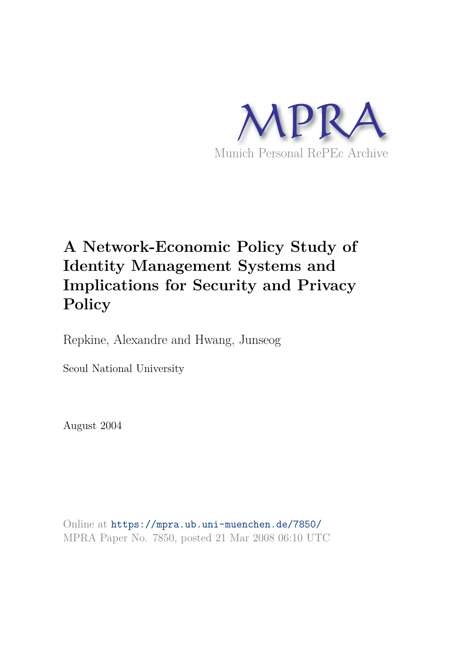

# **A Network-Economic Policy Study of Identity Management Systems and Implications for Security and Privacy Policy**

Repkine, Alexandre and Hwang, Junseog

Seoul National University

August 2004

Online at https://mpra.ub.uni-muenchen.de/7850/ MPRA Paper No. 7850, posted 21 Mar 2008 06:10 UTC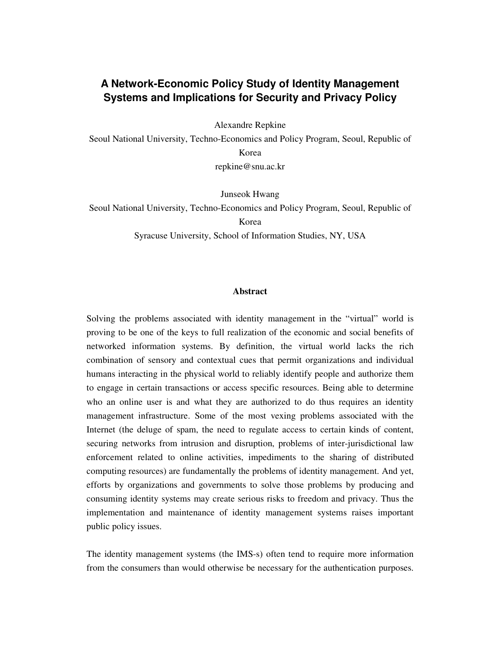# **A Network-Economic Policy Study of Identity Management Systems and Implications for Security and Privacy Policy**

Alexandre Repkine

Seoul National University, Techno-Economics and Policy Program, Seoul, Republic of Korea repkine@snu.ac.kr

Junseok Hwang

Seoul National University, Techno-Economics and Policy Program, Seoul, Republic of Korea

Syracuse University, School of Information Studies, NY, USA

#### **Abstract**

Solving the problems associated with identity management in the "virtual" world is proving to be one of the keys to full realization of the economic and social benefits of networked information systems. By definition, the virtual world lacks the rich combination of sensory and contextual cues that permit organizations and individual humans interacting in the physical world to reliably identify people and authorize them to engage in certain transactions or access specific resources. Being able to determine who an online user is and what they are authorized to do thus requires an identity management infrastructure. Some of the most vexing problems associated with the Internet (the deluge of spam, the need to regulate access to certain kinds of content, securing networks from intrusion and disruption, problems of inter-jurisdictional law enforcement related to online activities, impediments to the sharing of distributed computing resources) are fundamentally the problems of identity management. And yet, efforts by organizations and governments to solve those problems by producing and consuming identity systems may create serious risks to freedom and privacy. Thus the implementation and maintenance of identity management systems raises important public policy issues.

The identity management systems (the IMS-s) often tend to require more information from the consumers than would otherwise be necessary for the authentication purposes.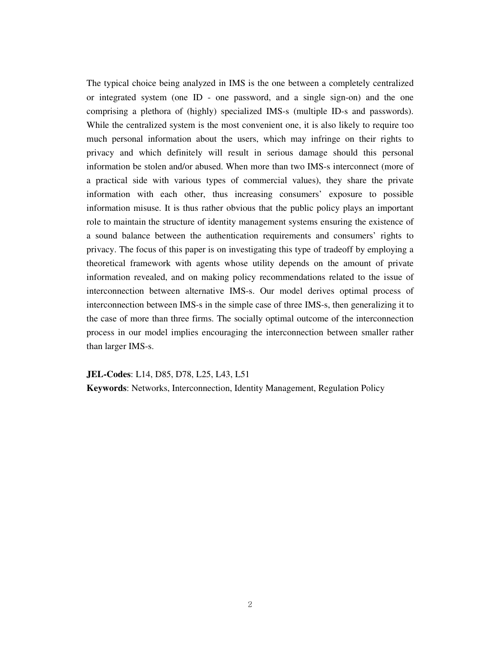The typical choice being analyzed in IMS is the one between a completely centralized or integrated system (one ID - one password, and a single sign-on) and the one comprising a plethora of (highly) specialized IMS-s (multiple ID-s and passwords). While the centralized system is the most convenient one, it is also likely to require too much personal information about the users, which may infringe on their rights to privacy and which definitely will result in serious damage should this personal information be stolen and/or abused. When more than two IMS-s interconnect (more of a practical side with various types of commercial values), they share the private information with each other, thus increasing consumers' exposure to possible information misuse. It is thus rather obvious that the public policy plays an important role to maintain the structure of identity management systems ensuring the existence of a sound balance between the authentication requirements and consumers' rights to privacy. The focus of this paper is on investigating this type of tradeoff by employing a theoretical framework with agents whose utility depends on the amount of private information revealed, and on making policy recommendations related to the issue of interconnection between alternative IMS-s. Our model derives optimal process of interconnection between IMS-s in the simple case of three IMS-s, then generalizing it to the case of more than three firms. The socially optimal outcome of the interconnection process in our model implies encouraging the interconnection between smaller rather than larger IMS-s.

**JEL-Codes**: L14, D85, D78, L25, L43, L51

**Keywords**: Networks, Interconnection, Identity Management, Regulation Policy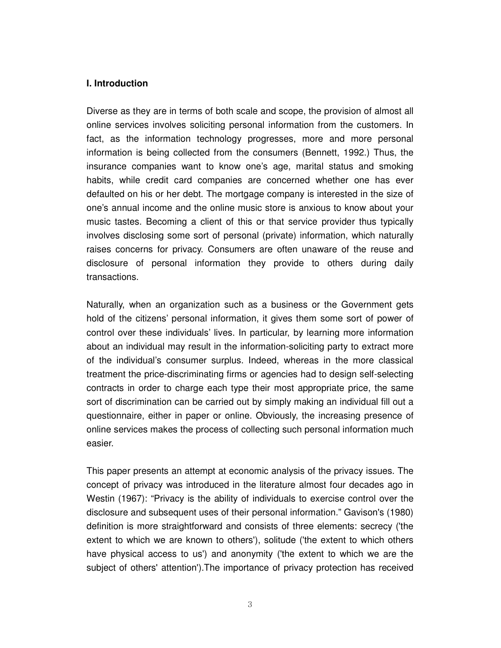## **I. Introduction**

Diverse as they are in terms of both scale and scope, the provision of almost all online services involves soliciting personal information from the customers. In fact, as the information technology progresses, more and more personal information is being collected from the consumers (Bennett, 1992.) Thus, the insurance companies want to know one's age, marital status and smoking habits, while credit card companies are concerned whether one has ever defaulted on his or her debt. The mortgage company is interested in the size of one's annual income and the online music store is anxious to know about your music tastes. Becoming a client of this or that service provider thus typically involves disclosing some sort of personal (private) information, which naturally raises concerns for privacy. Consumers are often unaware of the reuse and disclosure of personal information they provide to others during daily transactions.

Naturally, when an organization such as a business or the Government gets hold of the citizens' personal information, it gives them some sort of power of control over these individuals' lives. In particular, by learning more information about an individual may result in the information-soliciting party to extract more of the individual's consumer surplus. Indeed, whereas in the more classical treatment the price-discriminating firms or agencies had to design self-selecting contracts in order to charge each type their most appropriate price, the same sort of discrimination can be carried out by simply making an individual fill out a questionnaire, either in paper or online. Obviously, the increasing presence of online services makes the process of collecting such personal information much easier.

This paper presents an attempt at economic analysis of the privacy issues. The concept of privacy was introduced in the literature almost four decades ago in Westin (1967): "Privacy is the ability of individuals to exercise control over the disclosure and subsequent uses of their personal information." Gavison's (1980) definition is more straightforward and consists of three elements: secrecy ('the extent to which we are known to others'), solitude ('the extent to which others have physical access to us') and anonymity ('the extent to which we are the subject of others' attention').The importance of privacy protection has received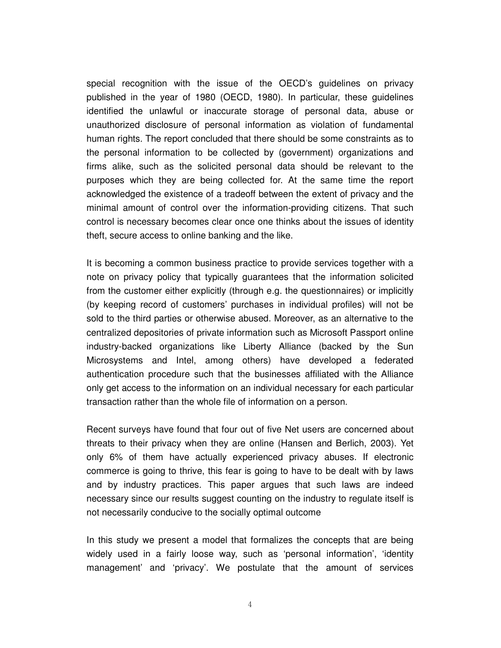special recognition with the issue of the OECD's guidelines on privacy published in the year of 1980 (OECD, 1980). In particular, these guidelines identified the unlawful or inaccurate storage of personal data, abuse or unauthorized disclosure of personal information as violation of fundamental human rights. The report concluded that there should be some constraints as to the personal information to be collected by (government) organizations and firms alike, such as the solicited personal data should be relevant to the purposes which they are being collected for. At the same time the report acknowledged the existence of a tradeoff between the extent of privacy and the minimal amount of control over the information-providing citizens. That such control is necessary becomes clear once one thinks about the issues of identity theft, secure access to online banking and the like.

It is becoming a common business practice to provide services together with a note on privacy policy that typically guarantees that the information solicited from the customer either explicitly (through e.g. the questionnaires) or implicitly (by keeping record of customers' purchases in individual profiles) will not be sold to the third parties or otherwise abused. Moreover, as an alternative to the centralized depositories of private information such as Microsoft Passport online industry-backed organizations like Liberty Alliance (backed by the Sun Microsystems and Intel, among others) have developed a federated authentication procedure such that the businesses affiliated with the Alliance only get access to the information on an individual necessary for each particular transaction rather than the whole file of information on a person.

Recent surveys have found that four out of five Net users are concerned about threats to their privacy when they are online (Hansen and Berlich, 2003). Yet only 6% of them have actually experienced privacy abuses. If electronic commerce is going to thrive, this fear is going to have to be dealt with by laws and by industry practices. This paper argues that such laws are indeed necessary since our results suggest counting on the industry to regulate itself is not necessarily conducive to the socially optimal outcome

In this study we present a model that formalizes the concepts that are being widely used in a fairly loose way, such as 'personal information', 'identity management' and 'privacy'. We postulate that the amount of services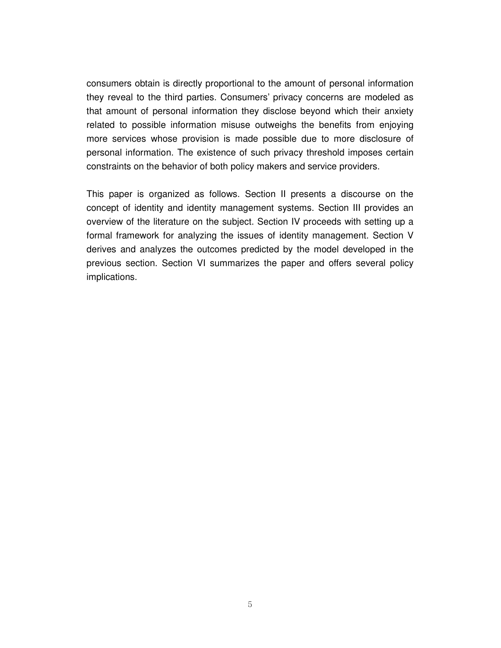consumers obtain is directly proportional to the amount of personal information they reveal to the third parties. Consumers' privacy concerns are modeled as that amount of personal information they disclose beyond which their anxiety related to possible information misuse outweighs the benefits from enjoying more services whose provision is made possible due to more disclosure of personal information. The existence of such privacy threshold imposes certain constraints on the behavior of both policy makers and service providers.

This paper is organized as follows. Section II presents a discourse on the concept of identity and identity management systems. Section III provides an overview of the literature on the subject. Section IV proceeds with setting up a formal framework for analyzing the issues of identity management. Section V derives and analyzes the outcomes predicted by the model developed in the previous section. Section VI summarizes the paper and offers several policy implications.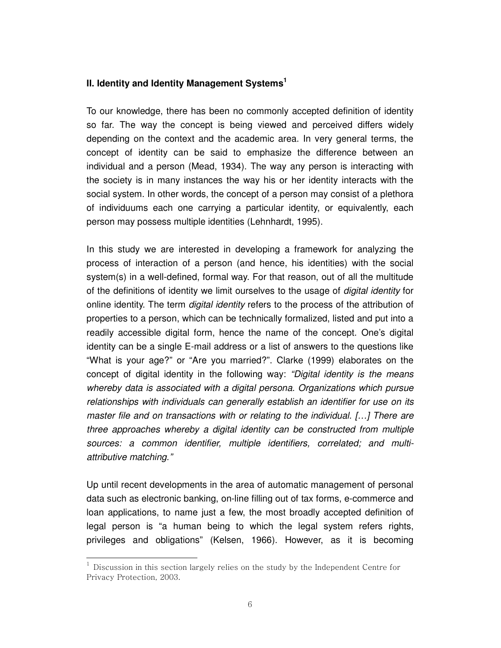## **II. Identity and Identity Management Systems<sup>1</sup>**

To our knowledge, there has been no commonly accepted definition of identity so far. The way the concept is being viewed and perceived differs widely depending on the context and the academic area. In very general terms, the concept of identity can be said to emphasize the difference between an individual and a person (Mead, 1934). The way any person is interacting with the society is in many instances the way his or her identity interacts with the social system. In other words, the concept of a person may consist of a plethora of individuums each one carrying a particular identity, or equivalently, each person may possess multiple identities (Lehnhardt, 1995).

In this study we are interested in developing a framework for analyzing the process of interaction of a person (and hence, his identities) with the social system(s) in a well-defined, formal way. For that reason, out of all the multitude of the definitions of identity we limit ourselves to the usage of *digital identity* for online identity. The term *digital identity* refers to the process of the attribution of properties to a person, which can be technically formalized, listed and put into a readily accessible digital form, hence the name of the concept. One's digital identity can be a single E-mail address or a list of answers to the questions like "What is your age?" or "Are you married?". Clarke (1999) elaborates on the concept of digital identity in the following way: *"Digital identity is the means whereby data is associated with a digital persona. Organizations which pursue relationships with individuals can generally establish an identifier for use on its master file and on transactions with or relating to the individual. […] There are three approaches whereby a digital identity can be constructed from multiple sources: a common identifier, multiple identifiers, correlated; and multiattributive matching."*

Up until recent developments in the area of automatic management of personal data such as electronic banking, on-line filling out of tax forms, e-commerce and loan applications, to name just a few, the most broadly accepted definition of legal person is "a human being to which the legal system refers rights, privileges and obligations" (Kelsen, 1966). However, as it is becoming

l

<sup>1</sup> Discussion in this section largely relies on the study by the Independent Centre for Privacy Protection, 2003.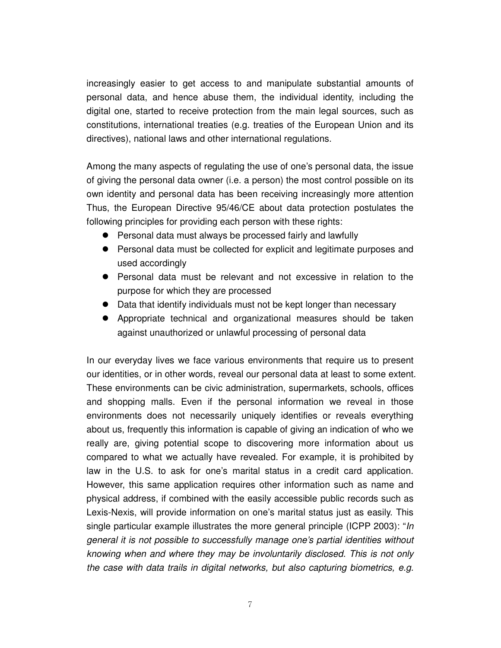increasingly easier to get access to and manipulate substantial amounts of personal data, and hence abuse them, the individual identity, including the digital one, started to receive protection from the main legal sources, such as constitutions, international treaties (e.g. treaties of the European Union and its directives), national laws and other international regulations.

Among the many aspects of regulating the use of one's personal data, the issue of giving the personal data owner (i.e. a person) the most control possible on its own identity and personal data has been receiving increasingly more attention Thus, the European Directive 95/46/CE about data protection postulates the following principles for providing each person with these rights:

- Personal data must always be processed fairly and lawfully
- Personal data must be collected for explicit and legitimate purposes and used accordingly
- Personal data must be relevant and not excessive in relation to the purpose for which they are processed
- Data that identify individuals must not be kept longer than necessary
- Appropriate technical and organizational measures should be taken against unauthorized or unlawful processing of personal data

In our everyday lives we face various environments that require us to present our identities, or in other words, reveal our personal data at least to some extent. These environments can be civic administration, supermarkets, schools, offices and shopping malls. Even if the personal information we reveal in those environments does not necessarily uniquely identifies or reveals everything about us, frequently this information is capable of giving an indication of who we really are, giving potential scope to discovering more information about us compared to what we actually have revealed. For example, it is prohibited by law in the U.S. to ask for one's marital status in a credit card application. However, this same application requires other information such as name and physical address, if combined with the easily accessible public records such as Lexis-Nexis, will provide information on one's marital status just as easily. This single particular example illustrates the more general principle (ICPP 2003): "*In general it is not possible to successfully manage one's partial identities without knowing when and where they may be involuntarily disclosed. This is not only the case with data trails in digital networks, but also capturing biometrics, e.g.*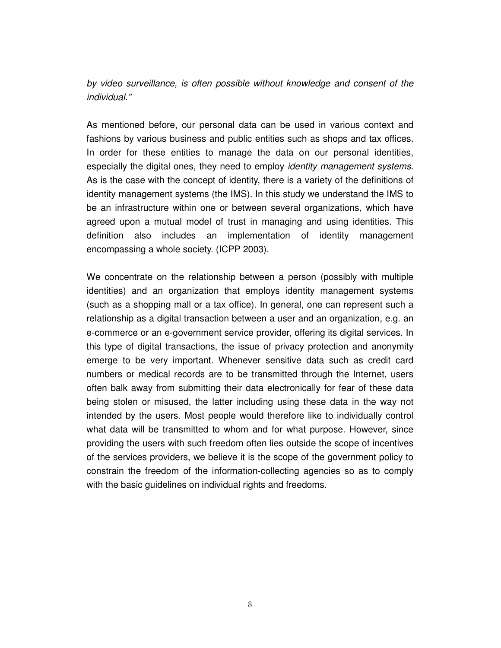*by video surveillance, is often possible without knowledge and consent of the individual."*

As mentioned before, our personal data can be used in various context and fashions by various business and public entities such as shops and tax offices. In order for these entities to manage the data on our personal identities, especially the digital ones, they need to employ *identity management systems*. As is the case with the concept of identity, there is a variety of the definitions of identity management systems (the IMS). In this study we understand the IMS to be an infrastructure within one or between several organizations, which have agreed upon a mutual model of trust in managing and using identities. This definition also includes an implementation of identity management encompassing a whole society. (ICPP 2003).

We concentrate on the relationship between a person (possibly with multiple identities) and an organization that employs identity management systems (such as a shopping mall or a tax office). In general, one can represent such a relationship as a digital transaction between a user and an organization, e.g. an e-commerce or an e-government service provider, offering its digital services. In this type of digital transactions, the issue of privacy protection and anonymity emerge to be very important. Whenever sensitive data such as credit card numbers or medical records are to be transmitted through the Internet, users often balk away from submitting their data electronically for fear of these data being stolen or misused, the latter including using these data in the way not intended by the users. Most people would therefore like to individually control what data will be transmitted to whom and for what purpose. However, since providing the users with such freedom often lies outside the scope of incentives of the services providers, we believe it is the scope of the government policy to constrain the freedom of the information-collecting agencies so as to comply with the basic guidelines on individual rights and freedoms.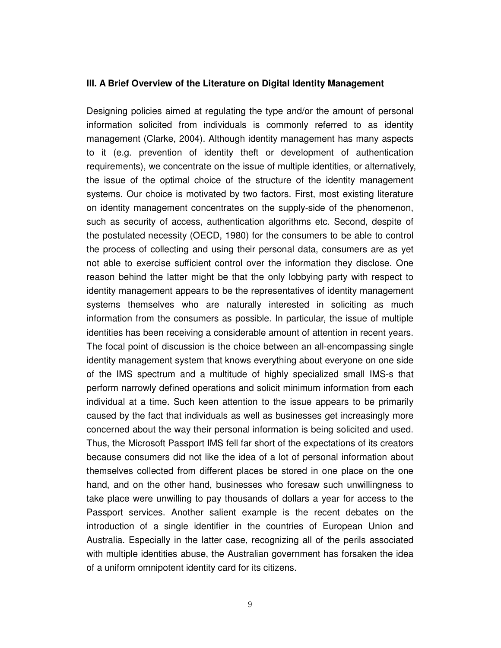#### **III. A Brief Overview of the Literature on Digital Identity Management**

Designing policies aimed at regulating the type and/or the amount of personal information solicited from individuals is commonly referred to as identity management (Clarke, 2004). Although identity management has many aspects to it (e.g. prevention of identity theft or development of authentication requirements), we concentrate on the issue of multiple identities, or alternatively, the issue of the optimal choice of the structure of the identity management systems. Our choice is motivated by two factors. First, most existing literature on identity management concentrates on the supply-side of the phenomenon, such as security of access, authentication algorithms etc. Second, despite of the postulated necessity (OECD, 1980) for the consumers to be able to control the process of collecting and using their personal data, consumers are as yet not able to exercise sufficient control over the information they disclose. One reason behind the latter might be that the only lobbying party with respect to identity management appears to be the representatives of identity management systems themselves who are naturally interested in soliciting as much information from the consumers as possible. In particular, the issue of multiple identities has been receiving a considerable amount of attention in recent years. The focal point of discussion is the choice between an all-encompassing single identity management system that knows everything about everyone on one side of the IMS spectrum and a multitude of highly specialized small IMS-s that perform narrowly defined operations and solicit minimum information from each individual at a time. Such keen attention to the issue appears to be primarily caused by the fact that individuals as well as businesses get increasingly more concerned about the way their personal information is being solicited and used. Thus, the Microsoft Passport IMS fell far short of the expectations of its creators because consumers did not like the idea of a lot of personal information about themselves collected from different places be stored in one place on the one hand, and on the other hand, businesses who foresaw such unwillingness to take place were unwilling to pay thousands of dollars a year for access to the Passport services. Another salient example is the recent debates on the introduction of a single identifier in the countries of European Union and Australia. Especially in the latter case, recognizing all of the perils associated with multiple identities abuse, the Australian government has forsaken the idea of a uniform omnipotent identity card for its citizens.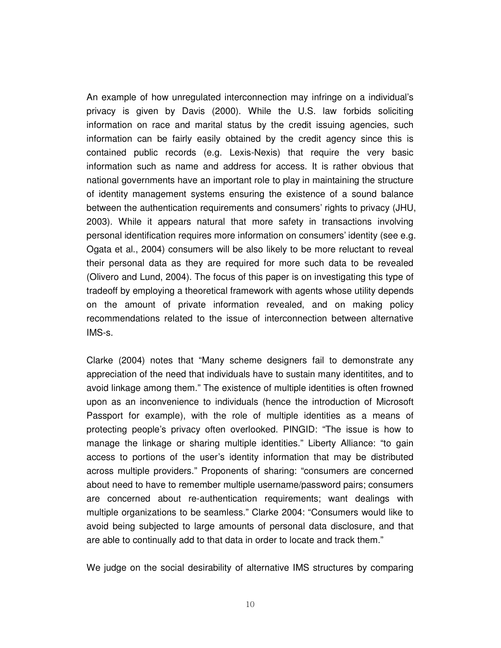An example of how unregulated interconnection may infringe on a individual's privacy is given by Davis (2000). While the U.S. law forbids soliciting information on race and marital status by the credit issuing agencies, such information can be fairly easily obtained by the credit agency since this is contained public records (e.g. Lexis-Nexis) that require the very basic information such as name and address for access. It is rather obvious that national governments have an important role to play in maintaining the structure of identity management systems ensuring the existence of a sound balance between the authentication requirements and consumers' rights to privacy (JHU, 2003). While it appears natural that more safety in transactions involving personal identification requires more information on consumers' identity (see e.g. Ogata et al., 2004) consumers will be also likely to be more reluctant to reveal their personal data as they are required for more such data to be revealed (Olivero and Lund, 2004). The focus of this paper is on investigating this type of tradeoff by employing a theoretical framework with agents whose utility depends on the amount of private information revealed, and on making policy recommendations related to the issue of interconnection between alternative IMS-s.

Clarke (2004) notes that "Many scheme designers fail to demonstrate any appreciation of the need that individuals have to sustain many identitites, and to avoid linkage among them." The existence of multiple identities is often frowned upon as an inconvenience to individuals (hence the introduction of Microsoft Passport for example), with the role of multiple identities as a means of protecting people's privacy often overlooked. PINGID: "The issue is how to manage the linkage or sharing multiple identities." Liberty Alliance: "to gain access to portions of the user's identity information that may be distributed across multiple providers." Proponents of sharing: "consumers are concerned about need to have to remember multiple username/password pairs; consumers are concerned about re-authentication requirements; want dealings with multiple organizations to be seamless." Clarke 2004: "Consumers would like to avoid being subjected to large amounts of personal data disclosure, and that are able to continually add to that data in order to locate and track them."

We judge on the social desirability of alternative IMS structures by comparing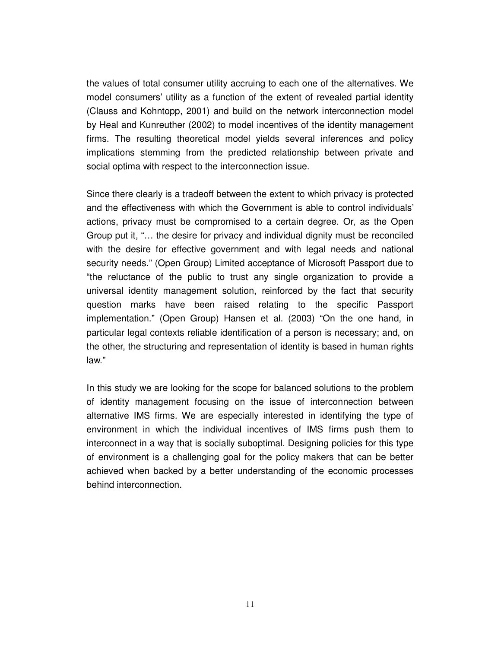the values of total consumer utility accruing to each one of the alternatives. We model consumers' utility as a function of the extent of revealed partial identity (Clauss and Kohntopp, 2001) and build on the network interconnection model by Heal and Kunreuther (2002) to model incentives of the identity management firms. The resulting theoretical model yields several inferences and policy implications stemming from the predicted relationship between private and social optima with respect to the interconnection issue.

Since there clearly is a tradeoff between the extent to which privacy is protected and the effectiveness with which the Government is able to control individuals' actions, privacy must be compromised to a certain degree. Or, as the Open Group put it, "… the desire for privacy and individual dignity must be reconciled with the desire for effective government and with legal needs and national security needs." (Open Group) Limited acceptance of Microsoft Passport due to "the reluctance of the public to trust any single organization to provide a universal identity management solution, reinforced by the fact that security question marks have been raised relating to the specific Passport implementation." (Open Group) Hansen et al. (2003) "On the one hand, in particular legal contexts reliable identification of a person is necessary; and, on the other, the structuring and representation of identity is based in human rights law."

In this study we are looking for the scope for balanced solutions to the problem of identity management focusing on the issue of interconnection between alternative IMS firms. We are especially interested in identifying the type of environment in which the individual incentives of IMS firms push them to interconnect in a way that is socially suboptimal. Designing policies for this type of environment is a challenging goal for the policy makers that can be better achieved when backed by a better understanding of the economic processes behind interconnection.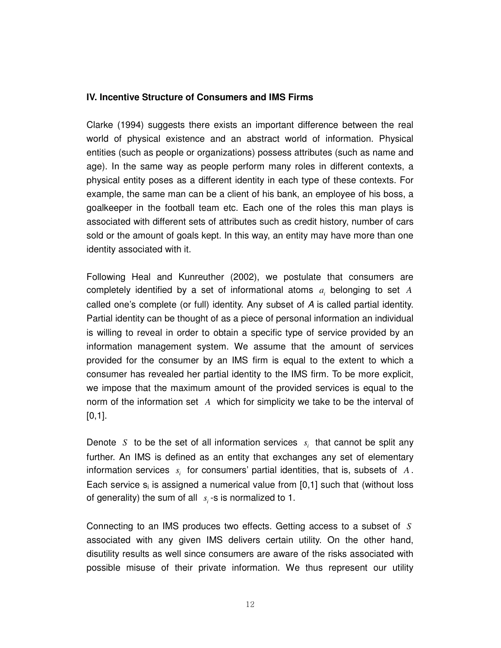## **IV. Incentive Structure of Consumers and IMS Firms**

Clarke (1994) suggests there exists an important difference between the real world of physical existence and an abstract world of information. Physical entities (such as people or organizations) possess attributes (such as name and age). In the same way as people perform many roles in different contexts, a physical entity poses as a different identity in each type of these contexts. For example, the same man can be a client of his bank, an employee of his boss, a goalkeeper in the football team etc. Each one of the roles this man plays is associated with different sets of attributes such as credit history, number of cars sold or the amount of goals kept. In this way, an entity may have more than one identity associated with it.

Following Heal and Kunreuther (2002), we postulate that consumers are completely identified by a set of informational atoms  $a_i$  belonging to set  $A$ called one's complete (or full) identity. Any subset of *A* is called partial identity. Partial identity can be thought of as a piece of personal information an individual is willing to reveal in order to obtain a specific type of service provided by an information management system. We assume that the amount of services provided for the consumer by an IMS firm is equal to the extent to which a consumer has revealed her partial identity to the IMS firm. To be more explicit, we impose that the maximum amount of the provided services is equal to the norm of the information set *A* which for simplicity we take to be the interval of  $[0,1]$ .

Denote *S* to be the set of all information services  $s_i$  that cannot be split any further. An IMS is defined as an entity that exchanges any set of elementary information services  $s_i$  for consumers' partial identities, that is, subsets of  $A$ . Each service  $s_i$  is assigned a numerical value from [0,1] such that (without loss of generality) the sum of all  $s_i$ -s is normalized to 1.

Connecting to an IMS produces two effects. Getting access to a subset of *S* associated with any given IMS delivers certain utility. On the other hand, disutility results as well since consumers are aware of the risks associated with possible misuse of their private information. We thus represent our utility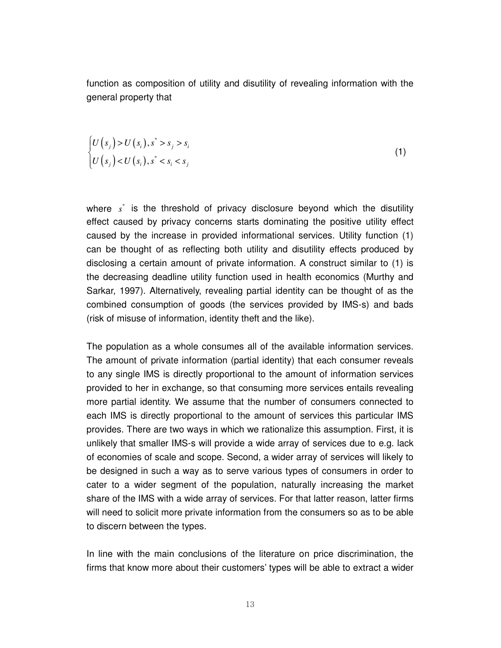function as composition of utility and disutility of revealing information with the general property that

$$
\begin{cases} U(s_i) > U(s_i), s^* > s_i \\ U(s_i) < U(s_i), s^* < s_i < s_j \end{cases} \tag{1}
$$

where  $s^*$  is the threshold of privacy disclosure beyond which the disutility effect caused by privacy concerns starts dominating the positive utility effect caused by the increase in provided informational services. Utility function (1) can be thought of as reflecting both utility and disutility effects produced by disclosing a certain amount of private information. A construct similar to (1) is the decreasing deadline utility function used in health economics (Murthy and Sarkar, 1997). Alternatively, revealing partial identity can be thought of as the combined consumption of goods (the services provided by IMS-s) and bads (risk of misuse of information, identity theft and the like).

The population as a whole consumes all of the available information services. The amount of private information (partial identity) that each consumer reveals to any single IMS is directly proportional to the amount of information services provided to her in exchange, so that consuming more services entails revealing more partial identity. We assume that the number of consumers connected to each IMS is directly proportional to the amount of services this particular IMS provides. There are two ways in which we rationalize this assumption. First, it is unlikely that smaller IMS-s will provide a wide array of services due to e.g. lack of economies of scale and scope. Second, a wider array of services will likely to be designed in such a way as to serve various types of consumers in order to cater to a wider segment of the population, naturally increasing the market share of the IMS with a wide array of services. For that latter reason, latter firms will need to solicit more private information from the consumers so as to be able to discern between the types.

In line with the main conclusions of the literature on price discrimination, the firms that know more about their customers' types will be able to extract a wider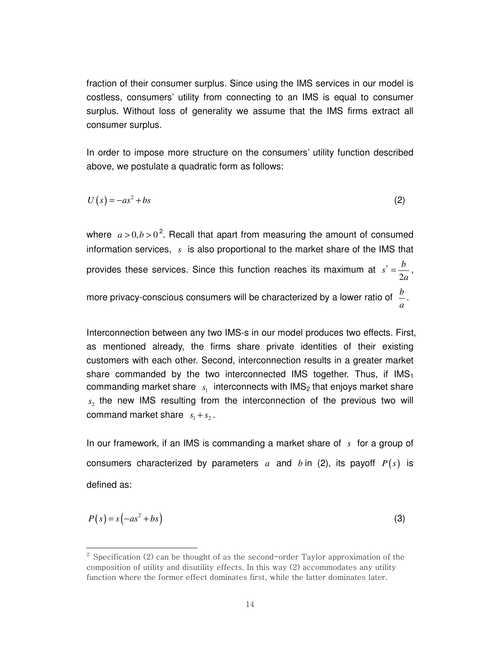fraction of their consumer surplus. Since using the IMS services in our model is costless, consumers' utility from connecting to an IMS is equal to consumer surplus. Without loss of generality we assume that the IMS firms extract all consumer surplus.

In order to impose more structure on the consumers' utility function described above, we postulate a quadratic form as follows:

$$
U(s) = -as^2 + bs \tag{2}
$$

where  $a > 0, b > 0^2$ . Recall that apart from measuring the amount of consumed information services, *s* is also proportional to the market share of the IMS that provides these services. Since this function reaches its maximum at  $s^*$ 2  $s^* = \frac{b}{2}$ *a*  $=\frac{v}{2}$ , more privacy-conscious consumers will be characterized by a lower ratio of  $\;\frac{b}{\phantom{b}}\;$ *a* .

Interconnection between any two IMS-s in our model produces two effects. First, as mentioned already, the firms share private identities of their existing customers with each other. Second, interconnection results in a greater market share commanded by the two interconnected IMS together. Thus, if  $\text{IMS}_1$ commanding market share  $\,$   $\,$ <sub>s1</sub> interconnects with IMS<sub>2</sub> that enjoys market share  $s<sub>2</sub>$  the new IMS resulting from the interconnection of the previous two will command market share  $s_1 + s_2$ .

In our framework, if an IMS is commanding a market share of *s* for a group of consumers characterized by parameters  $a$  and  $b$  in (2), its payoff  $P(s)$  is defined as:

$$
P(s) = s(-as^2 + bs)
$$
 (3)

l

 $^2$  Specification (2) can be thought of as the second-order Taylor approximation of the composition of utility and disutility effects. In this way (2) accommodates any utility function where the former effect dominates first, while the latter dominates later.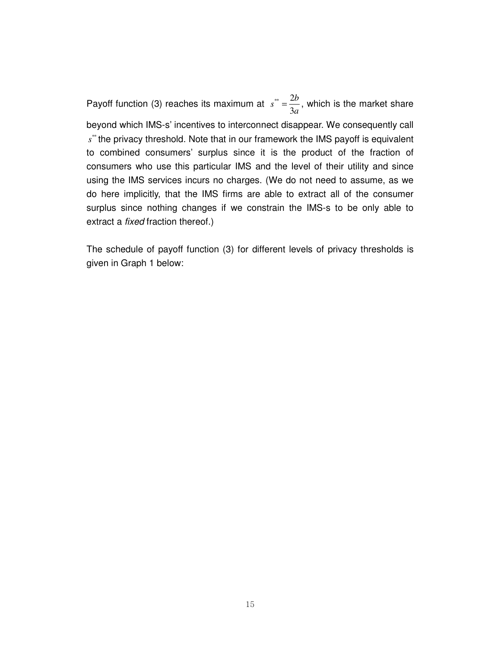Payoff function (3) reaches its maximum at  $s^* = \frac{2}{3}$ 3  $s^* = \frac{2b}{3}$ *a*  $=\frac{20}{3}$ , which is the market share beyond which IMS-s' incentives to interconnect disappear. We consequently call s<sup>\*\*</sup> the privacy threshold. Note that in our framework the IMS payoff is equivalent to combined consumers' surplus since it is the product of the fraction of consumers who use this particular IMS and the level of their utility and since using the IMS services incurs no charges. (We do not need to assume, as we do here implicitly, that the IMS firms are able to extract all of the consumer surplus since nothing changes if we constrain the IMS-s to be only able to extract a *fixed* fraction thereof.)

The schedule of payoff function (3) for different levels of privacy thresholds is given in Graph 1 below: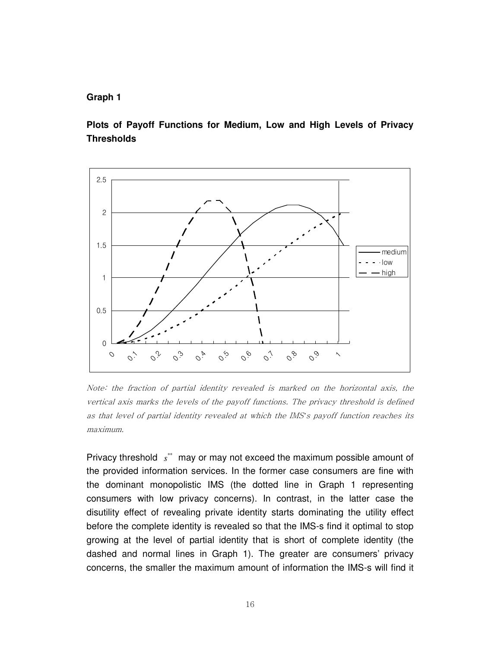## **Graph 1**

**Plots of Payoff Functions for Medium, Low and High Levels of Privacy Thresholds** 



Note: the fraction of partial identity revealed is marked on the horizontal axis, the vertical axis marks the levels of the payoff functions. The privacy threshold is defined as that level of partial identity revealed at which the IMS*'*s payoff function reaches its maximum.

Privacy threshold  $s^*$  may or may not exceed the maximum possible amount of the provided information services. In the former case consumers are fine with the dominant monopolistic IMS (the dotted line in Graph 1 representing consumers with low privacy concerns). In contrast, in the latter case the disutility effect of revealing private identity starts dominating the utility effect before the complete identity is revealed so that the IMS-s find it optimal to stop growing at the level of partial identity that is short of complete identity (the dashed and normal lines in Graph 1). The greater are consumers' privacy concerns, the smaller the maximum amount of information the IMS-s will find it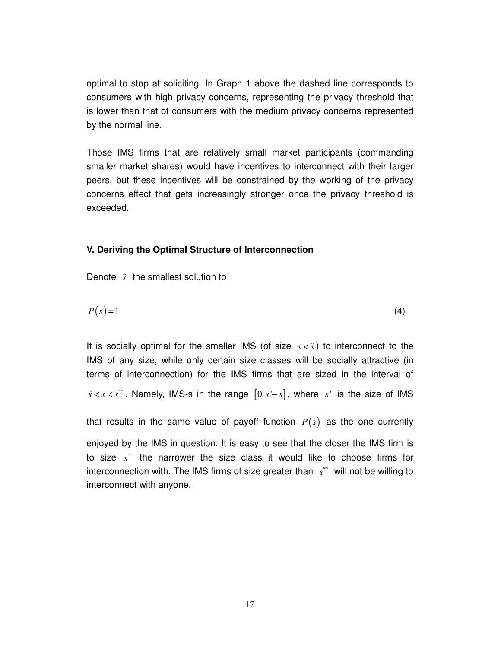optimal to stop at soliciting. In Graph 1 above the dashed line corresponds to consumers with high privacy concerns, representing the privacy threshold that is lower than that of consumers with the medium privacy concerns represented by the normal line.

Those IMS firms that are relatively small market participants (commanding smaller market shares) would have incentives to interconnect with their larger peers, but these incentives will be constrained by the working of the privacy concerns effect that gets increasingly stronger once the privacy threshold is exceeded.

## **V. Deriving the Optimal Structure of Interconnection**

Denote  $\tilde{s}$  the smallest solution to

$$
P(s) = 1 \tag{4}
$$

It is socially optimal for the smaller IMS (of size  $s < \tilde{s}$ ) to interconnect to the IMS of any size, while only certain size classes will be socially attractive (in terms of interconnection) for the IMS firms that are sized in the interval of  $s < s < s^*$ . Namely, IMS-s in the range  $[0, s'-s]$ , where s' is the size of IMS

that results in the same value of payoff function  $P(s)$  as the one currently

enjoyed by the IMS in question. It is easy to see that the closer the IMS firm is to size  $s^{**}$  the narrower the size class it would like to choose firms for interconnection with. The IMS firms of size greater than  $s^*$  will not be willing to interconnect with anyone.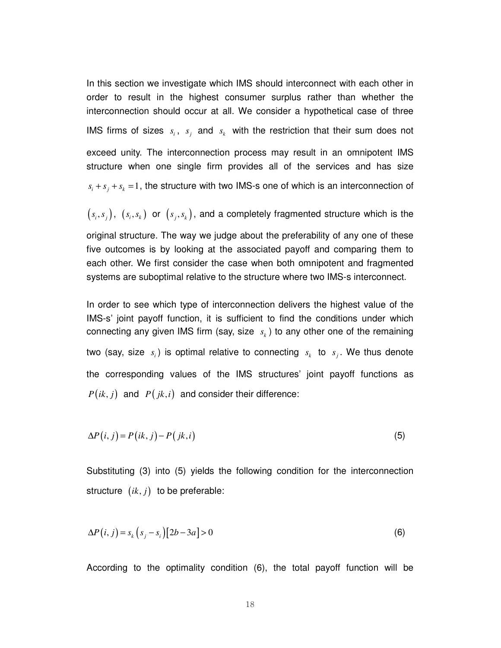In this section we investigate which IMS should interconnect with each other in order to result in the highest consumer surplus rather than whether the interconnection should occur at all. We consider a hypothetical case of three IMS firms of sizes  $s_i$ ,  $s_j$  and  $s_k$  with the restriction that their sum does not exceed unity. The interconnection process may result in an omnipotent IMS structure when one single firm provides all of the services and has size  $s_i + s_j + s_k = 1$ , the structure with two IMS-s one of which is an interconnection of

 $(s_i, s_j)$ ,  $(s_i, s_k)$  or  $(s_j, s_k)$ , and a completely fragmented structure which is the

original structure. The way we judge about the preferability of any one of these five outcomes is by looking at the associated payoff and comparing them to each other. We first consider the case when both omnipotent and fragmented systems are suboptimal relative to the structure where two IMS-s interconnect.

In order to see which type of interconnection delivers the highest value of the IMS-s' joint payoff function, it is sufficient to find the conditions under which connecting any given IMS firm (say, size  $s_k$ ) to any other one of the remaining two (say, size  $s_i$ ) is optimal relative to connecting  $s_k$  to  $s_j$ . We thus denote the corresponding values of the IMS structures' joint payoff functions as  $P(ik, j)$  and  $P(jk, i)$  and consider their difference:

$$
\Delta P(i, j) = P(ik, j) - P(jk, i) \tag{5}
$$

Substituting (3) into (5) yields the following condition for the interconnection structure  $(ik, j)$  to be preferable:

$$
\Delta P(i,j) = s_k \left( s_j - s_i \right) \left[ 2b - 3a \right] > 0 \tag{6}
$$

According to the optimality condition (6), the total payoff function will be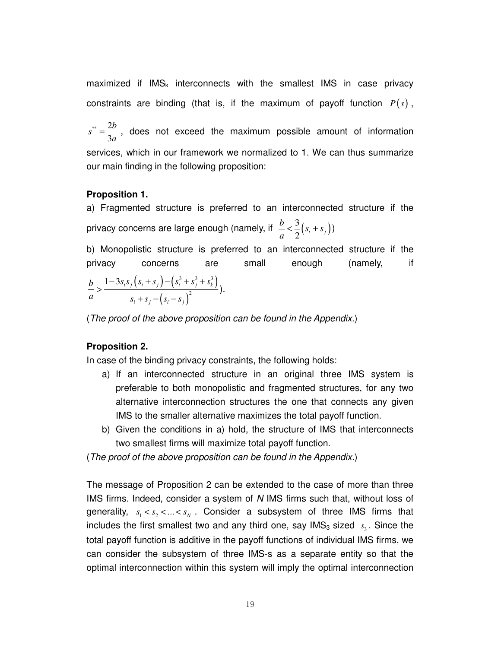maximized if  $IMS<sub>k</sub>$  interconnects with the smallest IMS in case privacy constraints are binding (that is, if the maximum of payoff function  $P(s)$ ,

 $*$  2 3  $s^* = \frac{2b}{2}$ *a*  $=\frac{20}{3}$ , does not exceed the maximum possible amount of information services, which in our framework we normalized to 1. We can thus summarize our main finding in the following proposition:

## **Proposition 1.**

a) Fragmented structure is preferred to an interconnected structure if the privacy concerns are large enough (namely, if  $\frac{b}{a} < \frac{3}{2} (s_i + s_j)$ )  $\frac{b}{s} < \frac{3}{s} (s_i + s)$ *a*  $\lt \frac{5}{2}(s_i + s_j)$ 

b) Monopolistic structure is preferred to an interconnected structure if the privacy concerns are small enough (namely, if  $(s_i + s_j) - (s_i^3 + s_j^3 + s_k^3)$  $\left( s_{i}-s_{j}\right) ^{2}$  $3^{3} + a^{3} + a^{3}$ 2  $1 - 3s_i s_j (s_i + s_j) - (s_i^3 + s_j^3 + s_k^3)$  $i$ <sup>*i*</sup>*j*  $\left\{ \begin{matrix} \mathbf{a}_i & \mathbf{b}_j \\ j & j \end{matrix} \right\}$  $b = 1-3s_i s_j (s_i + s_j) - (s_i^3 + s_j^3 + s_j^2)$ *a*  $s_i + s_j - (s_i - s_j)$  $-3s_i s_j (s_i + s_j) - (s_i^3 + s_j^3 +$ >  $+ s_{i} - (s_{i} -$ ).

(*The proof of the above proposition can be found in the Appendix.*)

#### **Proposition 2.**

In case of the binding privacy constraints, the following holds:

- a) If an interconnected structure in an original three IMS system is preferable to both monopolistic and fragmented structures, for any two alternative interconnection structures the one that connects any given IMS to the smaller alternative maximizes the total payoff function.
- b) Given the conditions in a) hold, the structure of IMS that interconnects two smallest firms will maximize total payoff function.

(*The proof of the above proposition can be found in the Appendix.*)

The message of Proposition 2 can be extended to the case of more than three IMS firms. Indeed, consider a system of *N* IMS firms such that, without loss of generality,  $s_1 < s_2 < ... < s_N$ . Consider a subsystem of three IMS firms that includes the first smallest two and any third one, say IMS<sub>3</sub> sized  $s<sub>3</sub>$ . Since the total payoff function is additive in the payoff functions of individual IMS firms, we can consider the subsystem of three IMS-s as a separate entity so that the optimal interconnection within this system will imply the optimal interconnection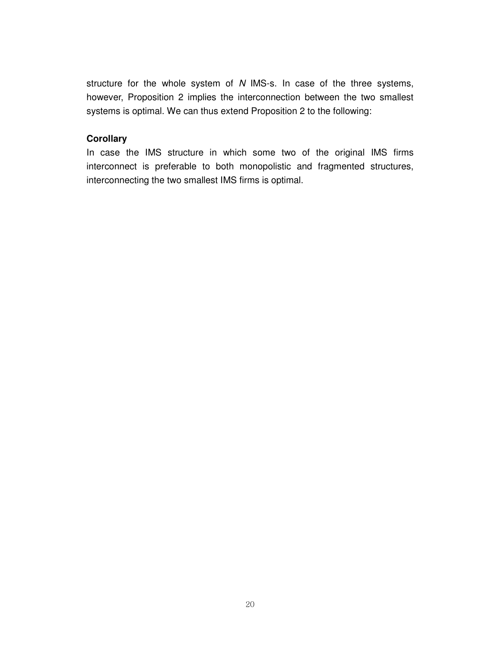structure for the whole system of *N* IMS-s. In case of the three systems, however, Proposition 2 implies the interconnection between the two smallest systems is optimal. We can thus extend Proposition 2 to the following:

## **Corollary**

In case the IMS structure in which some two of the original IMS firms interconnect is preferable to both monopolistic and fragmented structures, interconnecting the two smallest IMS firms is optimal.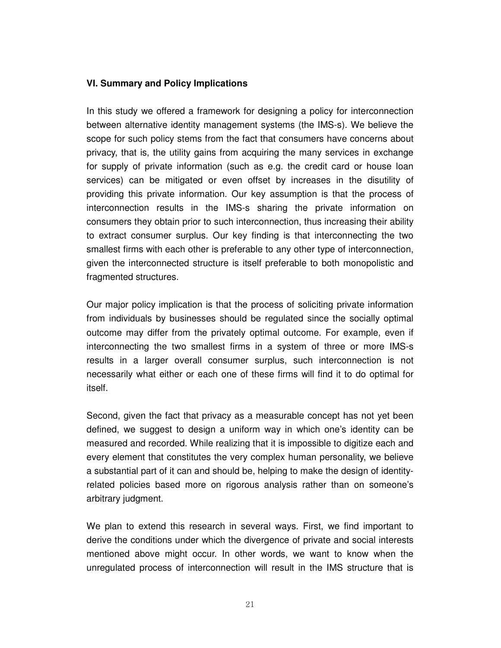## **VI. Summary and Policy Implications**

In this study we offered a framework for designing a policy for interconnection between alternative identity management systems (the IMS-s). We believe the scope for such policy stems from the fact that consumers have concerns about privacy, that is, the utility gains from acquiring the many services in exchange for supply of private information (such as e.g. the credit card or house loan services) can be mitigated or even offset by increases in the disutility of providing this private information. Our key assumption is that the process of interconnection results in the IMS-s sharing the private information on consumers they obtain prior to such interconnection, thus increasing their ability to extract consumer surplus. Our key finding is that interconnecting the two smallest firms with each other is preferable to any other type of interconnection, given the interconnected structure is itself preferable to both monopolistic and fragmented structures.

Our major policy implication is that the process of soliciting private information from individuals by businesses should be regulated since the socially optimal outcome may differ from the privately optimal outcome. For example, even if interconnecting the two smallest firms in a system of three or more IMS-s results in a larger overall consumer surplus, such interconnection is not necessarily what either or each one of these firms will find it to do optimal for itself.

Second, given the fact that privacy as a measurable concept has not yet been defined, we suggest to design a uniform way in which one's identity can be measured and recorded. While realizing that it is impossible to digitize each and every element that constitutes the very complex human personality, we believe a substantial part of it can and should be, helping to make the design of identityrelated policies based more on rigorous analysis rather than on someone's arbitrary judgment.

We plan to extend this research in several ways. First, we find important to derive the conditions under which the divergence of private and social interests mentioned above might occur. In other words, we want to know when the unregulated process of interconnection will result in the IMS structure that is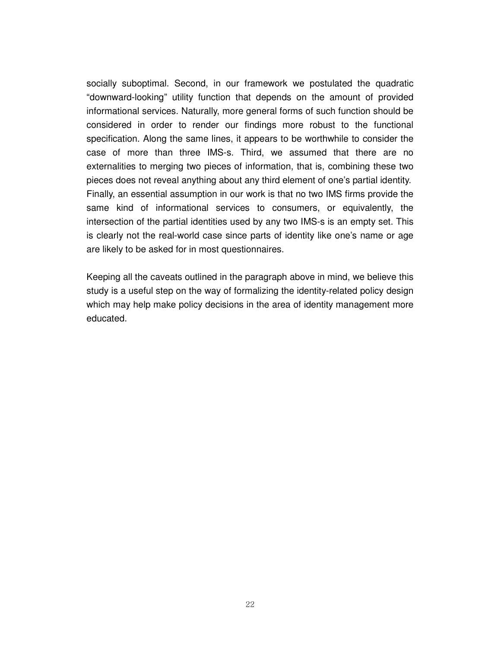socially suboptimal. Second, in our framework we postulated the quadratic "downward-looking" utility function that depends on the amount of provided informational services. Naturally, more general forms of such function should be considered in order to render our findings more robust to the functional specification. Along the same lines, it appears to be worthwhile to consider the case of more than three IMS-s. Third, we assumed that there are no externalities to merging two pieces of information, that is, combining these two pieces does not reveal anything about any third element of one's partial identity. Finally, an essential assumption in our work is that no two IMS firms provide the same kind of informational services to consumers, or equivalently, the intersection of the partial identities used by any two IMS-s is an empty set. This is clearly not the real-world case since parts of identity like one's name or age are likely to be asked for in most questionnaires.

Keeping all the caveats outlined in the paragraph above in mind, we believe this study is a useful step on the way of formalizing the identity-related policy design which may help make policy decisions in the area of identity management more educated.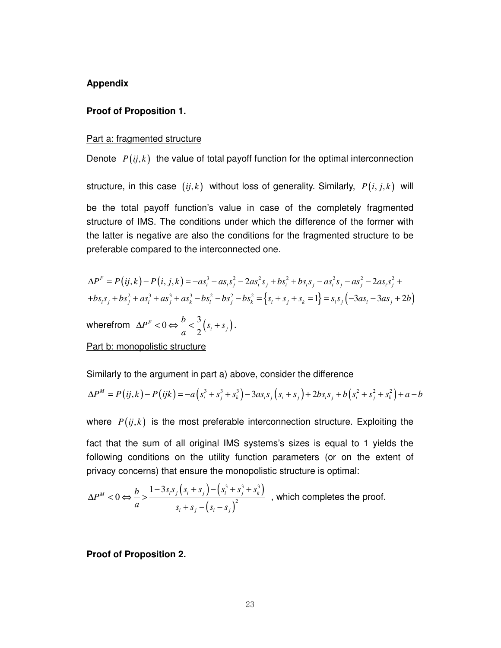#### **Appendix**

#### **Proof of Proposition 1.**

#### Part a: fragmented structure

Denote  $P(i, k)$  the value of total payoff function for the optimal interconnection structure, in this case  $(i, k)$  without loss of generality. Similarly,  $P(i, j, k)$  will be the total payoff function's value in case of the completely fragmented structure of IMS. The conditions under which the difference of the former with the latter is negative are also the conditions for the fragmented structure to be preferable compared to the interconnected one.

$$
\Delta P^F = P(ij,k) - P(i, j,k) = -as_i^3 - as_i s_j^2 - 2as_i^2 s_j + bs_i^2 + bs_i s_j - as_i^2 s_j - as_j^2 - 2as_i s_j^2 ++bs_i s_j + bs_j^2 + as_i^3 + as_j^3 - bs_i^2 - bs_i^2 - bs_k^2 = \left\{ s_i + s_j + s_k = 1 \right\} = s_i s_j \left( -3as_i - 3as_j + 2b \right)
$$

wherefrom  $\Delta P^F < 0 \Leftrightarrow \frac{b}{a} < \frac{3}{2} (s_i + s_j)$ 2  $F < 0 \Leftrightarrow \frac{\nu}{\gamma} < \frac{3}{2} (s_i + s_j)$  $P<sup>F</sup> < 0 \Leftrightarrow \frac{b}{s} < \frac{3}{s}(s_i + s)$ *a*  $\Delta P^F < 0 \Leftrightarrow \frac{b}{\lambda} < \frac{b}{\lambda} \left( s_i + s_j \right).$ 

## Part b: monopolistic structure

Similarly to the argument in part a) above, consider the difference

$$
\Delta P^M = P(ij,k) - P(ijk) = -a(s_i^3 + s_j^3 + s_k^3) - 3as_i s_j (s_i + s_j) + 2bs_i s_j + b(s_i^2 + s_j^2 + s_k^2) + a - b
$$

where  $P(i, k)$  is the most preferable interconnection structure. Exploiting the

fact that the sum of all original IMS systems's sizes is equal to 1 yields the following conditions on the utility function parameters (or on the extent of privacy concerns) that ensure the monopolistic structure is optimal:

$$
\Delta P^M < 0 \Leftrightarrow \frac{b}{a} > \frac{1 - 3s_i s_j \left(s_i + s_j\right) - \left(s_i^3 + s_j^3 + s_k^3\right)}{s_i + s_j - \left(s_i - s_j\right)^2} \quad \text{, which completes the proof.}
$$

**Proof of Proposition 2.**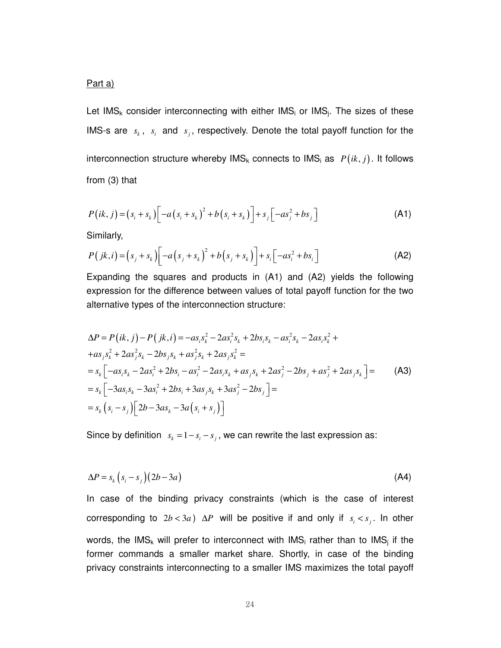## Part a)

Let IMS<sub>k</sub> consider interconnecting with either IMS<sub>i</sub> or IMS<sub>i</sub>. The sizes of these IMS-s are  $s_k$ ,  $s_i$  and  $s_j$ , respectively. Denote the total payoff function for the interconnection structure whereby  $\text{IMS}_k$  connects to  $\text{IMS}_i$  as  $P(ik, j)$ . It follows from (3) that

$$
P(ik, j) = (s_i + s_k) \left[ -a (s_i + s_k)^2 + b (s_i + s_k) \right] + s_j \left[ -as_j^2 + bs_j \right]
$$
 (A1)

Similarly,

$$
P(jk, i) = (s_j + s_k) \left[ -a \left( s_j + s_k \right)^2 + b \left( s_j + s_k \right) \right] + s_i \left[ -a s_i^2 + b s_i \right]
$$
 (A2)

Expanding the squares and products in (A1) and (A2) yields the following expression for the difference between values of total payoff function for the two alternative types of the interconnection structure:

$$
\Delta P = P(ik, j) - P(jk, i) = -as_i s_k^2 - 2as_i^2 s_k + 2bs_i s_k - as_i^2 s_k - 2as_i s_k^2 ++as_j s_k^2 + 2as_j^2 s_k - 2bs_j s_k + as_j^2 s_k + 2as_j s_k^2 == s_k \left[ -as_i s_k - 2as_i^2 + 2bs_i - as_i^2 - 2as_i s_k + as_j s_k + 2as_j^2 - 2bs_j + as_j^2 + 2as_j s_k \right] == s_k \left[ -3as_i s_k - 3as_i^2 + 2bs_i + 3as_j s_k + 3as_j^2 - 2bs_j \right] == s_k \left( s_i - s_j \right) \left[ 2b - 3as_k - 3a \left( s_i + s_j \right) \right]
$$
 (A3)

Since by definition  $s_k = 1 - s_i - s_i$ , we can rewrite the last expression as:

$$
\Delta P = s_k \left( s_i - s_j \right) \left( 2b - 3a \right) \tag{A4}
$$

In case of the binding privacy constraints (which is the case of interest corresponding to  $2b < 3a$ )  $\Delta P$  will be positive if and only if  $s_i < s_j$ . In other words, the IMS<sub>k</sub> will prefer to interconnect with IMS<sub>i</sub> rather than to IMS<sub>i</sub> if the former commands a smaller market share. Shortly, in case of the binding privacy constraints interconnecting to a smaller IMS maximizes the total payoff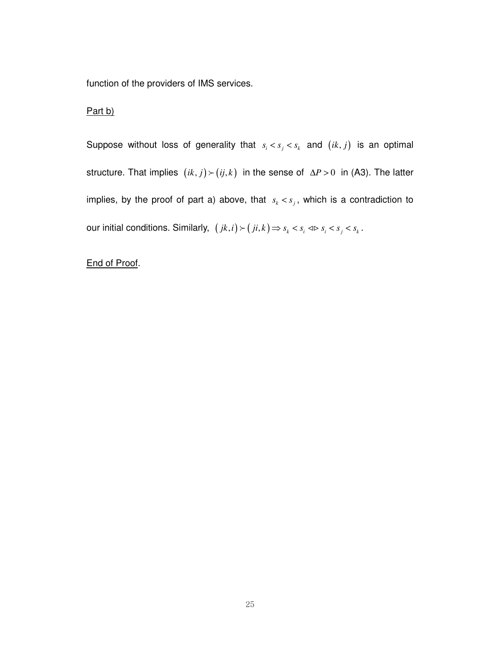function of the providers of IMS services.

## Part b)

Suppose without loss of generality that  $s_i < s_j < s_k$  and  $(ik, j)$  is an optimal structure. That implies  $(ik, j)$  >  $(ij, k)$  in the sense of  $\Delta P > 0$  in (A3). The latter implies, by the proof of part a) above, that  $s_k < s_j$ , which is a contradiction to our initial conditions. Similarly,  $(jk, i) > (ji, k) \Rightarrow s_k < s_i \Leftrightarrow s_i < s_j < s_k$ .

# End of Proof.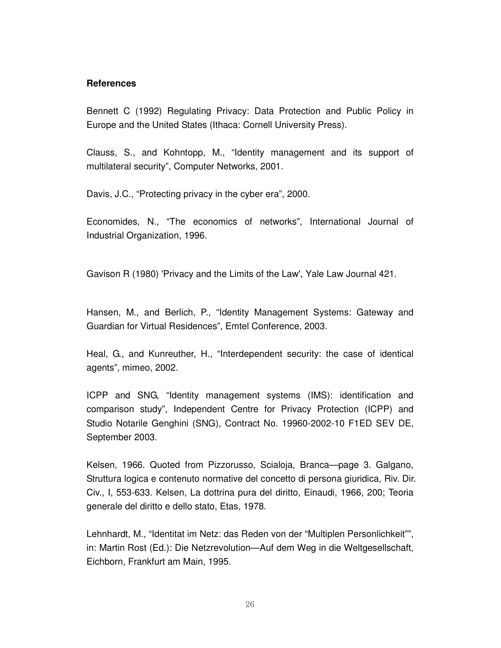## **References**

Bennett C (1992) Regulating Privacy: Data Protection and Public Policy in Europe and the United States (Ithaca: Cornell University Press).

Clauss, S., and Kohntopp, M., "Identity management and its support of multilateral security", Computer Networks, 2001.

Davis, J.C., "Protecting privacy in the cyber era", 2000.

Economides, N., "The economics of networks", International Journal of Industrial Organization, 1996.

Gavison R (1980) 'Privacy and the Limits of the Law', Yale Law Journal 421.

Hansen, M., and Berlich, P., "Identity Management Systems: Gateway and Guardian for Virtual Residences", Emtel Conference, 2003.

Heal, G., and Kunreuther, H., "Interdependent security: the case of identical agents", mimeo, 2002.

ICPP and SNG, "Identity management systems (IMS): identification and comparison study", Independent Centre for Privacy Protection (ICPP) and Studio Notarile Genghini (SNG), Contract No. 19960-2002-10 F1ED SEV DE, September 2003.

Kelsen, 1966. Quoted from Pizzorusso, Scialoja, Branca—page 3. Galgano, Struttura logica e contenuto normative del concetto di persona giuridica, Riv. Dir. Civ., I, 553-633. Kelsen, La dottrina pura del diritto, Einaudi, 1966, 200; Teoria generale del diritto e dello stato, Etas, 1978.

Lehnhardt, M., "Identitat im Netz: das Reden von der "Multiplen Personlichkeit"", in: Martin Rost (Ed.): Die Netzrevolution—Auf dem Weg in die Weltgesellschaft, Eichborn, Frankfurt am Main, 1995.